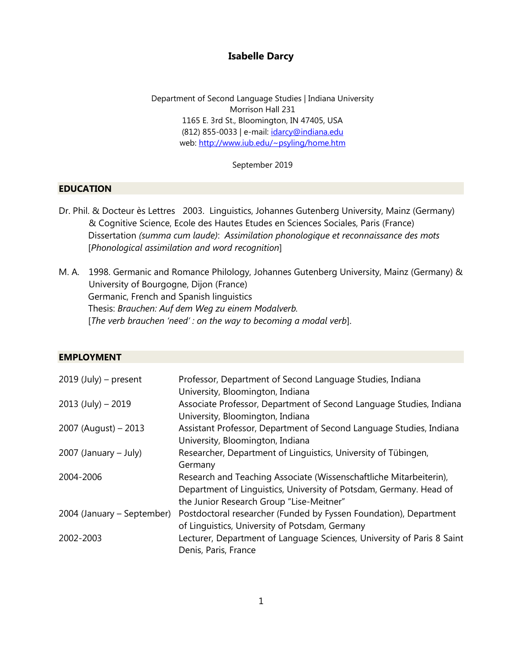# **Isabelle Darcy**

Department of Second Language Studies | Indiana University Morrison Hall 231 1165 E. 3rd St., Bloomington, IN 47405, USA (812) 855-0033 | e-mail: [idarcy@indiana.edu](mailto:idarcy@indiana.edu) web:<http://www.iub.edu/~psyling/home.htm>

September 2019

## **EDUCATION**

Dr. Phil. & Docteur ès Lettres 2003. Linguistics, Johannes Gutenberg University, Mainz (Germany) & Cognitive Science, Ecole des Hautes Etudes en Sciences Sociales, Paris (France) Dissertation *(summa cum laude)*: *Assimilation phonologique et reconnaissance des mots*  [*Phonological assimilation and word recognition*]

M. A. 1998. Germanic and Romance Philology, Johannes Gutenberg University, Mainz (Germany) & University of Bourgogne, Dijon (France) Germanic, French and Spanish linguistics Thesis: *Brauchen: Auf dem Weg zu einem Modalverb.* [*The verb brauchen 'need' : on the way to becoming a modal verb*].

## **EMPLOYMENT**

| $2019$ (July) – present    | Professor, Department of Second Language Studies, Indiana<br>University, Bloomington, Indiana                                                                                        |
|----------------------------|--------------------------------------------------------------------------------------------------------------------------------------------------------------------------------------|
| $2013$ (July) - $2019$     | Associate Professor, Department of Second Language Studies, Indiana<br>University, Bloomington, Indiana                                                                              |
| $2007$ (August) – 2013     | Assistant Professor, Department of Second Language Studies, Indiana<br>University, Bloomington, Indiana                                                                              |
| $2007$ (January – July)    | Researcher, Department of Linguistics, University of Tübingen,<br>Germany                                                                                                            |
| 2004-2006                  | Research and Teaching Associate (Wissenschaftliche Mitarbeiterin),<br>Department of Linguistics, University of Potsdam, Germany. Head of<br>the Junior Research Group "Lise-Meitner" |
| 2004 (January – September) | Postdoctoral researcher (Funded by Fyssen Foundation), Department<br>of Linguistics, University of Potsdam, Germany                                                                  |
| 2002-2003                  | Lecturer, Department of Language Sciences, University of Paris 8 Saint<br>Denis, Paris, France                                                                                       |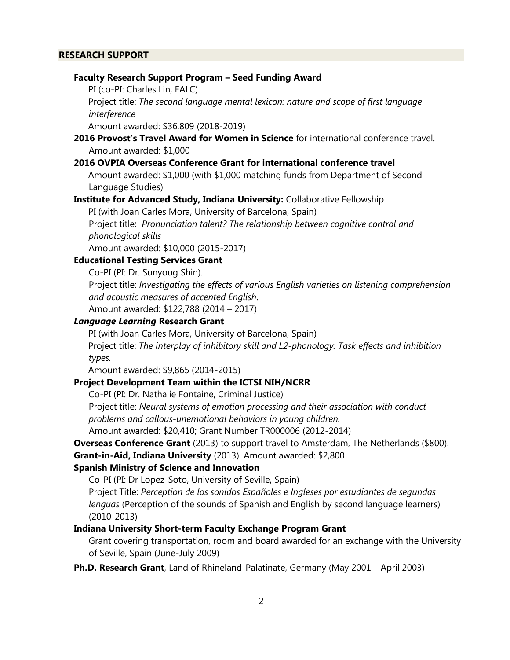### **RESEARCH SUPPORT**

### **Faculty Research Support Program – Seed Funding Award**

PI (co-PI: Charles Lin, EALC).

Project title: *The second language mental lexicon: nature and scope of first language interference*

Amount awarded: \$36,809 (2018-2019)

- **2016 Provost's Travel Award for Women in Science** for international conference travel. Amount awarded: \$1,000
- **2016 OVPIA Overseas Conference Grant for international conference travel** Amount awarded: \$1,000 (with \$1,000 matching funds from Department of Second

Language Studies)

#### **Institute for Advanced Study, Indiana University:** Collaborative Fellowship

PI (with Joan Carles Mora, University of Barcelona, Spain)

Project title: *Pronunciation talent? The relationship between cognitive control and phonological skills*

Amount awarded: \$10,000 (2015-2017)

### **Educational Testing Services Grant**

Co-PI (PI: Dr. Sunyoug Shin).

Project title: *Investigating the effects of various English varieties on listening comprehension and acoustic measures of accented English*.

Amount awarded: \$122,788 (2014 – 2017)

### *Language Learning* **Research Grant**

PI (with Joan Carles Mora, University of Barcelona, Spain) Project title: *The interplay of inhibitory skill and L2-phonology: Task effects and inhibition types.*

Amount awarded: \$9,865 (2014-2015)

### **Project Development Team within the ICTSI NIH/NCRR**

Co-PI (PI: Dr. Nathalie Fontaine, Criminal Justice)

Project title: *Neural systems of emotion processing and their association with conduct problems and callous-unemotional behaviors in young children.*

Amount awarded: \$20,410; Grant Number TR000006 (2012-2014)

**Overseas Conference Grant** (2013) to support travel to Amsterdam, The Netherlands (\$800). **Grant-in-Aid, Indiana University** (2013). Amount awarded: \$2,800

# **Spanish Ministry of Science and Innovation**

Co-PI (PI: Dr Lopez-Soto, University of Seville, Spain) Project Title: *Perception de los sonidos Españoles e Ingleses por estudiantes de segundas lenguas* (Perception of the sounds of Spanish and English by second language learners) (2010-2013)

### **Indiana University Short-term Faculty Exchange Program Grant**

Grant covering transportation, room and board awarded for an exchange with the University of Seville, Spain (June-July 2009)

**Ph.D. Research Grant**, Land of Rhineland-Palatinate, Germany (May 2001 – April 2003)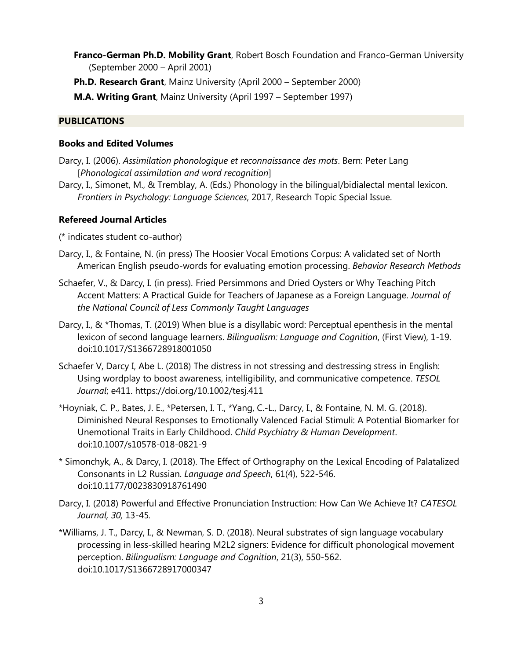- **Franco-German Ph.D. Mobility Grant**, Robert Bosch Foundation and Franco-German University (September 2000 – April 2001)
- **Ph.D. Research Grant**, Mainz University (April 2000 September 2000)
- **M.A. Writing Grant**, Mainz University (April 1997 September 1997)

### **PUBLICATIONS**

### **Books and Edited Volumes**

- Darcy, I. (2006). *Assimilation phonologique et reconnaissance des mots*. Bern: Peter Lang [*Phonological assimilation and word recognition*]
- Darcy, I., Simonet, M., & Tremblay, A. (Eds.) Phonology in the bilingual/bidialectal mental lexicon. *Frontiers in Psychology: Language Sciences*, 2017, Research Topic Special Issue.

### **Refereed Journal Articles**

(\* indicates student co-author)

- Darcy, I., & Fontaine, N. (in press) The Hoosier Vocal Emotions Corpus: A validated set of North American English pseudo-words for evaluating emotion processing. *Behavior Research Methods*
- Schaefer, V., & Darcy, I. (in press). Fried Persimmons and Dried Oysters or Why Teaching Pitch Accent Matters: A Practical Guide for Teachers of Japanese as a Foreign Language. *Journal of the National Council of Less Commonly Taught Languages*
- Darcy, I., & \*Thomas, T. (2019) When blue is a disyllabic word: Perceptual epenthesis in the mental lexicon of second language learners. *Bilingualism: Language and Cognition*, (First View), 1-19. doi:10.1017/S1366728918001050
- Schaefer V, Darcy I, Abe L. (2018) The distress in not stressing and destressing stress in English: Using wordplay to boost awareness, intelligibility, and communicative competence. *TESOL Journal*; e411. https://doi.org/10.1002/tesj.411
- \*Hoyniak, C. P., Bates, J. E., \*Petersen, I. T., \*Yang, C.-L., Darcy, I., & Fontaine, N. M. G. (2018). Diminished Neural Responses to Emotionally Valenced Facial Stimuli: A Potential Biomarker for Unemotional Traits in Early Childhood. *Child Psychiatry & Human Development*. doi:10.1007/s10578-018-0821-9
- \* Simonchyk, A., & Darcy, I. (2018). The Effect of Orthography on the Lexical Encoding of Palatalized Consonants in L2 Russian. *Language and Speech*, 61(4), 522-546. doi:10.1177/0023830918761490
- Darcy, I. (2018) Powerful and Effective Pronunciation Instruction: How Can We Achieve It? *CATESOL Journal, 30,* 13-45*.*
- \*Williams, J. T., Darcy, I., & Newman, S. D. (2018). Neural substrates of sign language vocabulary processing in less-skilled hearing M2L2 signers: Evidence for difficult phonological movement perception. *Bilingualism: Language and Cognition*, 21(3), 550-562. doi:10.1017/S1366728917000347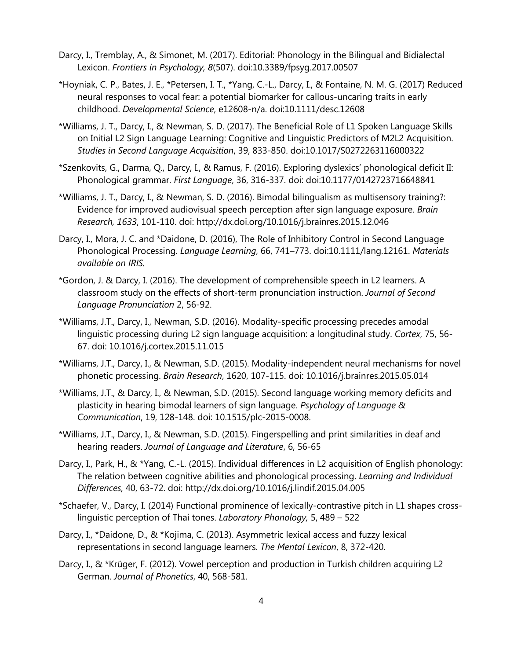- Darcy, I., Tremblay, A., & Simonet, M. (2017). Editorial: Phonology in the Bilingual and Bidialectal Lexicon. *Frontiers in Psychology, 8*(507). doi:10.3389/fpsyg.2017.00507
- \*Hoyniak, C. P., Bates, J. E., \*Petersen, I. T., \*Yang, C.-L., Darcy, I., & Fontaine, N. M. G. (2017) Reduced neural responses to vocal fear: a potential biomarker for callous-uncaring traits in early childhood. *Developmental Science*, e12608-n/a. doi:10.1111/desc.12608
- \*Williams, J. T., Darcy, I., & Newman, S. D. (2017). The Beneficial Role of L1 Spoken Language Skills on Initial L2 Sign Language Learning: Cognitive and Linguistic Predictors of M2L2 Acquisition. *Studies in Second Language Acquisition*, 39, 833-850. doi:10.1017/S0272263116000322
- \*Szenkovits, G., Darma, Q., Darcy, I., & Ramus, F. (2016). Exploring dyslexics' phonological deficit II: Phonological grammar. *First Language*, 36, 316-337. doi: doi:10.1177/0142723716648841
- \*Williams, J. T., Darcy, I., & Newman, S. D. (2016). Bimodal bilingualism as multisensory training?: Evidence for improved audiovisual speech perception after sign language exposure. *Brain Research, 1633*, 101-110. doi: http://dx.doi.org/10.1016/j.brainres.2015.12.046
- Darcy, I., Mora, J. C. and \*Daidone, D. (2016), The Role of Inhibitory Control in Second Language Phonological Processing. *Language Learning*, 66, 741–773. doi:10.1111/lang.12161. *Materials available on IRIS.*
- \*Gordon, J. & Darcy, I. (2016). The development of comprehensible speech in L2 learners. A classroom study on the effects of short-term pronunciation instruction. *Journal of Second Language Pronunciation* 2, 56-92.
- \*Williams, J.T., Darcy, I., Newman, S.D. (2016). Modality-specific processing precedes amodal linguistic processing during L2 sign language acquisition: a longitudinal study. *Cortex*, 75, 56- 67. doi: 10.1016/j.cortex.2015.11.015
- \*Williams, J.T., Darcy, I., & Newman, S.D. (2015). Modality-independent neural mechanisms for novel phonetic processing. *Brain Research*, 1620, 107-115. doi: 10.1016/j.brainres.2015.05.014
- \*Williams, J.T., & Darcy, I., & Newman, S.D. (2015). Second language working memory deficits and plasticity in hearing bimodal learners of sign language. *Psychology of Language & Communication*, 19, 128-148. doi: 10.1515/plc-2015-0008.
- \*Williams, J.T., Darcy, I., & Newman, S.D. (2015). Fingerspelling and print similarities in deaf and hearing readers. *Journal of Language and Literature*, 6, 56-65
- Darcy, I., Park, H., & \*Yang, C.-L. (2015). Individual differences in L2 acquisition of English phonology: The relation between cognitive abilities and phonological processing. *Learning and Individual Differences*, 40, 63-72. doi: http://dx.doi.org/10.1016/j.lindif.2015.04.005
- \*Schaefer, V., Darcy, I. (2014) Functional prominence of lexically-contrastive pitch in L1 shapes crosslinguistic perception of Thai tones. *Laboratory Phonology,* 5, 489 – 522
- Darcy, I., \*Daidone, D., & \*Kojima, C. (2013). Asymmetric lexical access and fuzzy lexical representations in second language learners. *The Mental Lexicon*, 8, 372-420.
- Darcy, I., & \*Krüger, F. (2012). Vowel perception and production in Turkish children acquiring L2 German. *Journal of Phonetics*, 40, 568-581.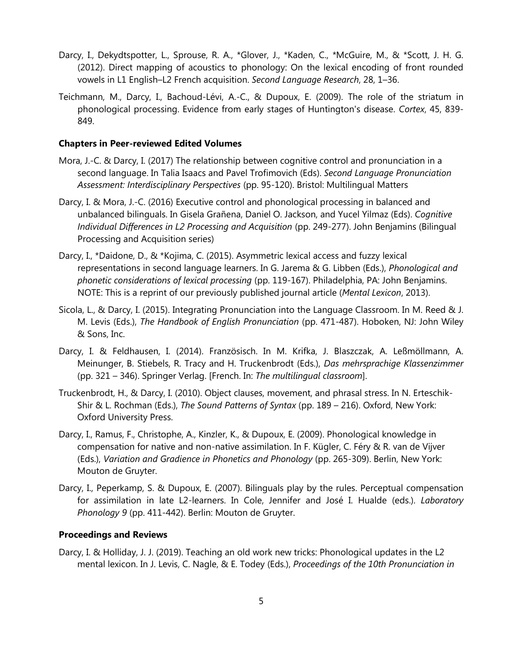- Darcy, I., Dekydtspotter, L., Sprouse, R. A., \*Glover, J., \*Kaden, C., \*McGuire, M., & \*Scott, J. H. G. (2012). Direct mapping of acoustics to phonology: On the lexical encoding of front rounded vowels in L1 English–L2 French acquisition. *Second Language Research*, 28, 1–36.
- Teichmann, M., Darcy, I., Bachoud-Lévi, A.-C., & Dupoux, E. (2009). The role of the striatum in phonological processing. Evidence from early stages of Huntington's disease. *Cortex*, 45, 839- 849.

### **Chapters in Peer-reviewed Edited Volumes**

- Mora, J.-C. & Darcy, I. (2017) The relationship between cognitive control and pronunciation in a second language. In Talia Isaacs and Pavel Trofimovich (Eds). *Second Language Pronunciation Assessment: Interdisciplinary Perspectives* (pp. 95-120). Bristol: Multilingual Matters
- Darcy, I. & Mora, J.-C. (2016) Executive control and phonological processing in balanced and unbalanced bilinguals. In Gisela Grañena, Daniel O. Jackson, and Yucel Yilmaz (Eds). *Cognitive Individual Differences in L2 Processing and Acquisition* (pp. 249-277). John Benjamins (Bilingual Processing and Acquisition series)
- Darcy, I., \*Daidone, D., & \*Kojima, C. (2015). Asymmetric lexical access and fuzzy lexical representations in second language learners. In G. Jarema & G. Libben (Eds.), *Phonological and phonetic considerations of lexical processing* (pp. 119-167). Philadelphia, PA: John Benjamins. NOTE: This is a reprint of our previously published journal article (*Mental Lexicon*, 2013).
- Sicola, L., & Darcy, I. (2015). Integrating Pronunciation into the Language Classroom. In M. Reed & J. M. Levis (Eds.), *The Handbook of English Pronunciation* (pp. 471-487). Hoboken, NJ: John Wiley & Sons, Inc.
- Darcy, I. & Feldhausen, I. (2014). Französisch. In M. Krifka, J. Blaszczak, A. Leßmöllmann, A. Meinunger, B. Stiebels, R. Tracy and H. Truckenbrodt (Eds.), *Das mehrsprachige Klassenzimmer* (pp. 321 – 346). Springer Verlag. [French. In: *The multilingual classroom*].
- Truckenbrodt, H., & Darcy, I. (2010). Object clauses, movement, and phrasal stress. In N. Erteschik-Shir & L. Rochman (Eds.), *The Sound Patterns of Syntax* (pp. 189 – 216). Oxford, New York: Oxford University Press.
- Darcy, I., Ramus, F., Christophe, A., Kinzler, K., & Dupoux, E. (2009). Phonological knowledge in compensation for native and non-native assimilation. In F. Kügler, C. Féry & R. van de Vijver (Eds.), *Variation and Gradience in Phonetics and Phonology* (pp. 265-309). Berlin, New York: Mouton de Gruyter.
- Darcy, I., Peperkamp, S. & Dupoux, E. (2007). Bilinguals play by the rules. Perceptual compensation for assimilation in late L2-learners. In Cole, Jennifer and José I. Hualde (eds.). *Laboratory Phonology 9* (pp. 411-442). Berlin: Mouton de Gruyter.

#### **Proceedings and Reviews**

Darcy, I. & Holliday, J. J. (2019). Teaching an old work new tricks: Phonological updates in the L2 mental lexicon. In J. Levis, C. Nagle, & E. Todey (Eds.), *Proceedings of the 10th Pronunciation in*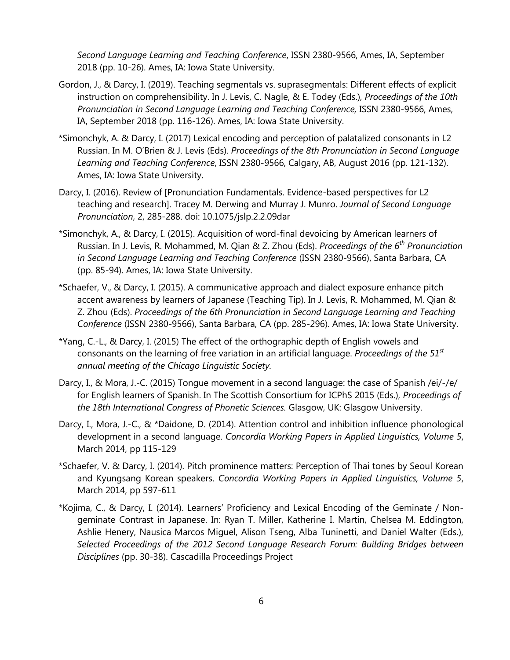*Second Language Learning and Teaching Conference*, ISSN 2380-9566, Ames, IA, September 2018 (pp. 10-26). Ames, IA: Iowa State University.

- Gordon, J., & Darcy, I. (2019). Teaching segmentals vs. suprasegmentals: Different effects of explicit instruction on comprehensibility. In J. Levis, C. Nagle, & E. Todey (Eds.), *Proceedings of the 10th Pronunciation in Second Language Learning and Teaching Conference,* ISSN 2380-9566, Ames, IA, September 2018 (pp. 116-126). Ames, IA: Iowa State University.
- \*Simonchyk, A. & Darcy, I. (2017) Lexical encoding and perception of palatalized consonants in L2 Russian. In M. O'Brien & J. Levis (Eds). *Proceedings of the 8th Pronunciation in Second Language Learning and Teaching Conference*, ISSN 2380-9566, Calgary, AB, August 2016 (pp. 121-132). Ames, IA: Iowa State University.
- Darcy, I. (2016). Review of [Pronunciation Fundamentals. Evidence-based perspectives for L2 teaching and research]. Tracey M. Derwing and Murray J. Munro. *Journal of Second Language Pronunciation*, 2, 285-288. doi: 10.1075/jslp.2.2.09dar
- \*Simonchyk, A., & Darcy, I. (2015). Acquisition of word-final devoicing by American learners of Russian. In J. Levis, R. Mohammed, M. Qian & Z. Zhou (Eds). *Proceedings of the 6th Pronunciation in Second Language Learning and Teaching Conference* (ISSN 2380-9566), Santa Barbara, CA (pp. 85-94). Ames, IA: Iowa State University.
- \*Schaefer, V., & Darcy, I. (2015). A communicative approach and dialect exposure enhance pitch accent awareness by learners of Japanese (Teaching Tip). In J. Levis, R. Mohammed, M. Qian & Z. Zhou (Eds). *Proceedings of the 6th Pronunciation in Second Language Learning and Teaching Conference* (ISSN 2380-9566), Santa Barbara, CA (pp. 285-296). Ames, IA: Iowa State University.
- \*Yang, C.-L., & Darcy, I. (2015) The effect of the orthographic depth of English vowels and consonants on the learning of free variation in an artificial language. *Proceedings of the 51st annual meeting of the Chicago Linguistic Society.*
- Darcy, I., & Mora, J.-C. (2015) Tongue movement in a second language: the case of Spanish /ei/-/e/ for English learners of Spanish. In The Scottish Consortium for ICPhS 2015 (Eds.), *Proceedings of the 18th International Congress of Phonetic Sciences.* Glasgow, UK: Glasgow University.
- Darcy, I., Mora, J.-C., & \*Daidone, D. (2014). Attention control and inhibition influence phonological development in a second language. *Concordia Working Papers in Applied Linguistics, Volume 5*, March 2014, pp 115-129
- \*Schaefer, V. & Darcy, I. (2014). Pitch prominence matters: Perception of Thai tones by Seoul Korean and Kyungsang Korean speakers. *Concordia Working Papers in Applied Linguistics, Volume 5*, March 2014, pp 597-611
- \*Kojima, C., & Darcy, I. (2014). Learners' Proficiency and Lexical Encoding of the Geminate / Nongeminate Contrast in Japanese. In: Ryan T. Miller, Katherine I. Martin, Chelsea M. Eddington, Ashlie Henery, Nausica Marcos Miguel, Alison Tseng, Alba Tuninetti, and Daniel Walter (Eds.), *Selected Proceedings of the 2012 Second Language Research Forum: Building Bridges between Disciplines* (pp. 30-38). Cascadilla Proceedings Project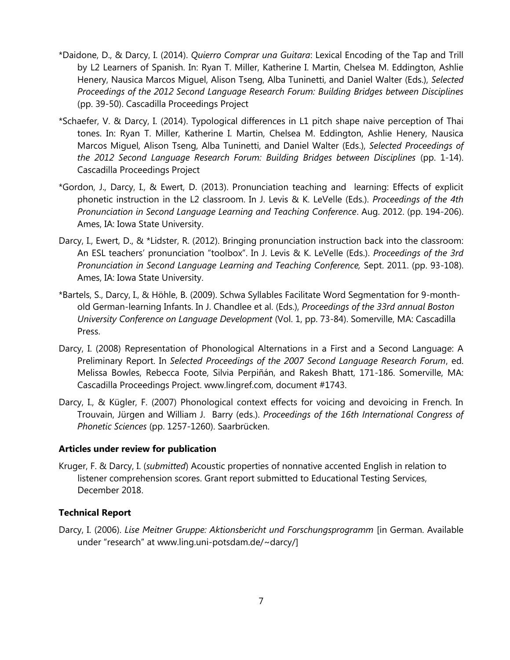- \*Daidone, D., & Darcy, I. (2014). *Quierro Comprar una Guitara*: Lexical Encoding of the Tap and Trill by L2 Learners of Spanish. In: Ryan T. Miller, Katherine I. Martin, Chelsea M. Eddington, Ashlie Henery, Nausica Marcos Miguel, Alison Tseng, Alba Tuninetti, and Daniel Walter (Eds.), *Selected Proceedings of the 2012 Second Language Research Forum: Building Bridges between Disciplines* (pp. 39-50). Cascadilla Proceedings Project
- \*Schaefer, V. & Darcy, I. (2014). Typological differences in L1 pitch shape naive perception of Thai tones. In: Ryan T. Miller, Katherine I. Martin, Chelsea M. Eddington, Ashlie Henery, Nausica Marcos Miguel, Alison Tseng, Alba Tuninetti, and Daniel Walter (Eds.), *Selected Proceedings of the 2012 Second Language Research Forum: Building Bridges between Disciplines* (pp. 1-14). Cascadilla Proceedings Project
- \*Gordon, J., Darcy, I., & Ewert, D. (2013). Pronunciation teaching and learning: Effects of explicit phonetic instruction in the L2 classroom. In J. Levis & K. LeVelle (Eds.). *Proceedings of the 4th Pronunciation in Second Language Learning and Teaching Conference*. Aug. 2012. (pp. 194-206). Ames, IA: Iowa State University.
- Darcy, I., Ewert, D., & \*Lidster, R. (2012). Bringing pronunciation instruction back into the classroom: An ESL teachers' pronunciation "toolbox". In J. Levis & K. LeVelle (Eds.). *Proceedings of the 3rd Pronunciation in Second Language Learning and Teaching Conference,* Sept. 2011. (pp. 93-108). Ames, IA: Iowa State University.
- \*Bartels, S., Darcy, I., & Höhle, B. (2009). Schwa Syllables Facilitate Word Segmentation for 9-monthold German-learning Infants. In J. Chandlee et al. (Eds.), *Proceedings of the 33rd annual Boston University Conference on Language Development* (Vol. 1, pp. 73-84). Somerville, MA: Cascadilla Press.
- Darcy, I. (2008) Representation of Phonological Alternations in a First and a Second Language: A Preliminary Report. In *Selected Proceedings of the 2007 Second Language Research Forum*, ed. Melissa Bowles, Rebecca Foote, Silvia Perpiñán, and Rakesh Bhatt, 171-186. Somerville, MA: Cascadilla Proceedings Project. www.lingref.com, document #1743.
- Darcy, I., & Kügler, F. (2007) Phonological context effects for voicing and devoicing in French. In Trouvain, Jürgen and William J. Barry (eds.). *Proceedings of the 16th International Congress of Phonetic Sciences* (pp. 1257-1260). Saarbrücken.

### **Articles under review for publication**

Kruger, F. & Darcy, I. (*submitted*) Acoustic properties of nonnative accented English in relation to listener comprehension scores. Grant report submitted to Educational Testing Services, December 2018.

## **Technical Report**

Darcy, I. (2006). *Lise Meitner Gruppe: Aktionsbericht und Forschungsprogramm* [in German. Available under "research" at www.ling.uni-potsdam.de/~darcy/]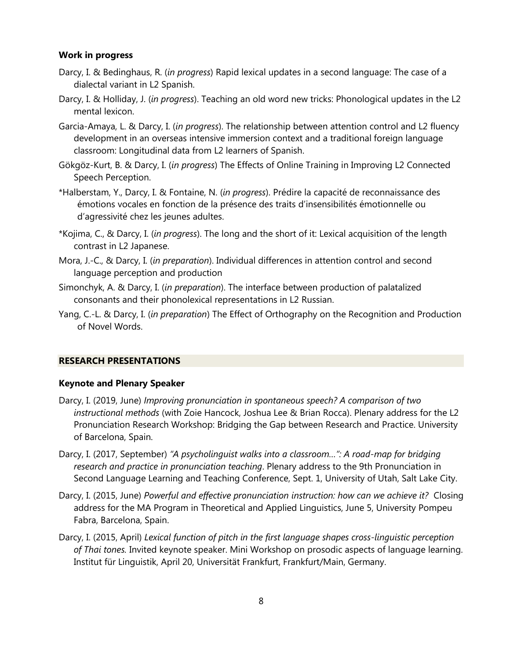### **Work in progress**

- Darcy, I. & Bedinghaus, R. (*in progress*) Rapid lexical updates in a second language: The case of a dialectal variant in L2 Spanish.
- Darcy, I. & Holliday, J. (*in progress*). Teaching an old word new tricks: Phonological updates in the L2 mental lexicon.
- Garcia-Amaya, L. & Darcy, I. (*in progress*). The relationship between attention control and L2 fluency development in an overseas intensive immersion context and a traditional foreign language classroom: Longitudinal data from L2 learners of Spanish.
- Gökgöz-Kurt, B. & Darcy, I. (*in progress*) The Effects of Online Training in Improving L2 Connected Speech Perception.
- \*Halberstam, Y., Darcy, I. & Fontaine, N. (*in progress*). Prédire la capacité de reconnaissance des émotions vocales en fonction de la présence des traits d'insensibilités émotionnelle ou d'agressivité chez les jeunes adultes.
- \*Kojima, C., & Darcy, I. (*in progress*). The long and the short of it: Lexical acquisition of the length contrast in L2 Japanese.
- Mora, J.-C., & Darcy, I. (*in preparation*). Individual differences in attention control and second language perception and production
- Simonchyk, A. & Darcy, I. (*in preparation*). The interface between production of palatalized consonants and their phonolexical representations in L2 Russian.
- Yang, C.-L. & Darcy, I. (*in preparation*) The Effect of Orthography on the Recognition and Production of Novel Words.

### **RESEARCH PRESENTATIONS**

### **Keynote and Plenary Speaker**

- Darcy, I. (2019, June) *Improving pronunciation in spontaneous speech? A comparison of two instructional methods* (with Zoie Hancock, Joshua Lee & Brian Rocca). Plenary address for the L2 Pronunciation Research Workshop: Bridging the Gap between Research and Practice. University of Barcelona, Spain.
- Darcy, I. (2017, September) *"A psycholinguist walks into a classroom…": A road-map for bridging research and practice in pronunciation teaching*. Plenary address to the 9th Pronunciation in Second Language Learning and Teaching Conference, Sept. 1, University of Utah, Salt Lake City.
- Darcy, I. (2015, June) *Powerful and effective pronunciation instruction: how can we achieve it?* Closing address for the MA Program in Theoretical and Applied Linguistics, June 5, University Pompeu Fabra, Barcelona, Spain.
- Darcy, I. (2015, April) *Lexical function of pitch in the first language shapes cross-linguistic perception of Thai tones.* Invited keynote speaker. Mini Workshop on prosodic aspects of language learning. Institut für Linguistik, April 20, Universität Frankfurt, Frankfurt/Main, Germany.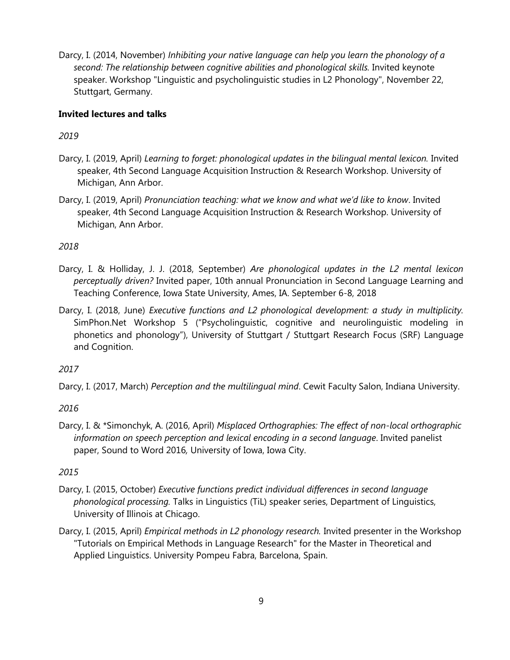Darcy, I. (2014, November) *Inhibiting your native language can help you learn the phonology of a second: The relationship between cognitive abilities and phonological skills.* Invited keynote speaker. Workshop "Linguistic and psycholinguistic studies in L2 Phonology", November 22, Stuttgart, Germany.

## **Invited lectures and talks**

*2019*

- Darcy, I. (2019, April) *Learning to forget: phonological updates in the bilingual mental lexicon.* Invited speaker, 4th Second Language Acquisition Instruction & Research Workshop. University of Michigan, Ann Arbor.
- Darcy, I. (2019, April) *Pronunciation teaching: what we know and what we'd like to know*. Invited speaker, 4th Second Language Acquisition Instruction & Research Workshop. University of Michigan, Ann Arbor.

# *2018*

- Darcy, I. & Holliday, J. J. (2018, September) *Are phonological updates in the L2 mental lexicon perceptually driven?* Invited paper, 10th annual Pronunciation in Second Language Learning and Teaching Conference, Iowa State University, Ames, IA. September 6-8, 2018
- Darcy, I. (2018, June) *Executive functions and L2 phonological development: a study in multiplicity.* SimPhon.Net Workshop 5 ("Psycholinguistic, cognitive and neurolinguistic modeling in phonetics and phonology"), University of Stuttgart / Stuttgart Research Focus (SRF) Language and Cognition.

*2017*

Darcy, I. (2017, March) *Perception and the multilingual mind*. Cewit Faculty Salon, Indiana University.

*2016*

Darcy, I. & \*Simonchyk, A. (2016, April) *Misplaced Orthographies: The effect of non-local orthographic information on speech perception and lexical encoding in a second language*. Invited panelist paper, Sound to Word 2016*,* University of Iowa, Iowa City.

- Darcy, I. (2015, October) *Executive functions predict individual differences in second language phonological processing.* Talks in Linguistics (TiL) speaker series, Department of Linguistics, University of Illinois at Chicago.
- Darcy, I. (2015, April) *Empirical methods in L2 phonology research.* Invited presenter in the Workshop "Tutorials on Empirical Methods in Language Research" for the Master in Theoretical and Applied Linguistics. University Pompeu Fabra, Barcelona, Spain.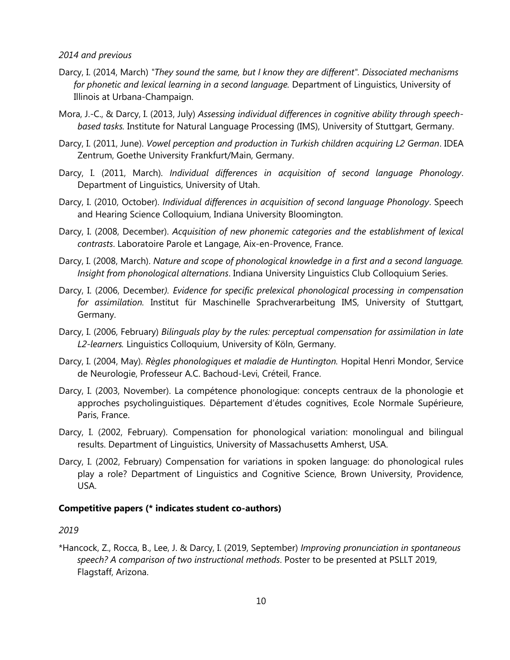### *2014 and previous*

- Darcy, I. (2014, March) *"They sound the same, but I know they are different". Dissociated mechanisms for phonetic and lexical learning in a second language.* Department of Linguistics, University of Illinois at Urbana-Champaign.
- Mora, J.-C., & Darcy, I. (2013, July) *Assessing individual differences in cognitive ability through speechbased tasks.* Institute for Natural Language Processing (IMS), University of Stuttgart, Germany.
- Darcy, I. (2011, June). *Vowel perception and production in Turkish children acquiring L2 German*. IDEA Zentrum, Goethe University Frankfurt/Main, Germany.
- Darcy, I. (2011, March). *Individual differences in acquisition of second language Phonology*. Department of Linguistics, University of Utah.
- Darcy, I. (2010, October). *Individual differences in acquisition of second language Phonology*. Speech and Hearing Science Colloquium, Indiana University Bloomington.
- Darcy, I. (2008, December). *Acquisition of new phonemic categories and the establishment of lexical contrasts*. Laboratoire Parole et Langage, Aix-en-Provence, France.
- Darcy, I. (2008, March). *Nature and scope of phonological knowledge in a first and a second language. Insight from phonological alternations*. Indiana University Linguistics Club Colloquium Series.
- Darcy, I. (2006, December*). Evidence for specific prelexical phonological processing in compensation for assimilation.* Institut für Maschinelle Sprachverarbeitung IMS, University of Stuttgart, Germany.
- Darcy, I. (2006, February) *Bilinguals play by the rules: perceptual compensation for assimilation in late L2-learners.* Linguistics Colloquium, University of Köln, Germany.
- Darcy, I. (2004, May). *Règles phonologiques et maladie de Huntington.* Hopital Henri Mondor, Service de Neurologie, Professeur A.C. Bachoud-Levi, Créteil, France.
- Darcy, I. (2003, November). La compétence phonologique: concepts centraux de la phonologie et approches psycholinguistiques. Département d'études cognitives, Ecole Normale Supérieure, Paris, France.
- Darcy, I. (2002, February). Compensation for phonological variation: monolingual and bilingual results. Department of Linguistics, University of Massachusetts Amherst, USA.
- Darcy, I. (2002, February) Compensation for variations in spoken language: do phonological rules play a role? Department of Linguistics and Cognitive Science, Brown University, Providence, USA.

### **Competitive papers (\* indicates student co-authors)**

#### *2019*

\*Hancock, Z., Rocca, B., Lee, J. & Darcy, I. (2019, September) *Improving pronunciation in spontaneous speech? A comparison of two instructional methods*. Poster to be presented at PSLLT 2019, Flagstaff, Arizona.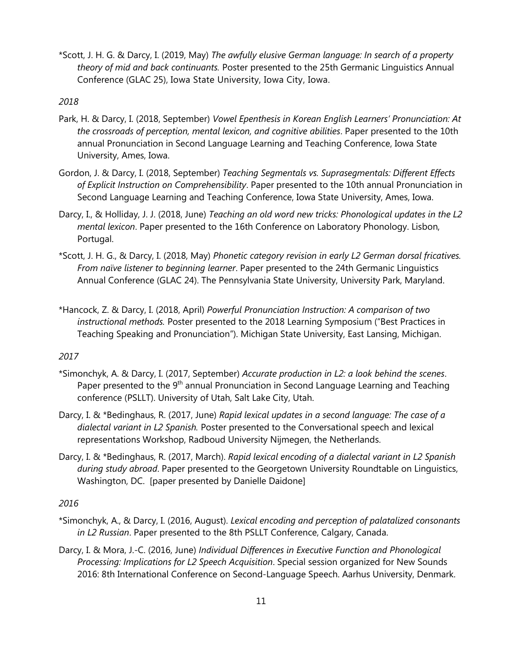\*Scott, J. H. G. & Darcy, I. (2019, May) *The awfully elusive German language: In search of a property theory of mid and back continuants.* Poster presented to the 25th Germanic Linguistics Annual Conference (GLAC 25), Iowa State University, Iowa City, Iowa.

### *2018*

- Park, H. & Darcy, I. (2018, September) *Vowel Epenthesis in Korean English Learners' Pronunciation: At the crossroads of perception, mental lexicon, and cognitive abilities*. Paper presented to the 10th annual Pronunciation in Second Language Learning and Teaching Conference, Iowa State University, Ames, Iowa.
- Gordon, J. & Darcy, I. (2018, September) *Teaching Segmentals vs. Suprasegmentals: Different Effects of Explicit Instruction on Comprehensibility*. Paper presented to the 10th annual Pronunciation in Second Language Learning and Teaching Conference, Iowa State University, Ames, Iowa.
- Darcy, I., & Holliday, J. J. (2018, June) *Teaching an old word new tricks: Phonological updates in the L2 mental lexicon*. Paper presented to the 16th Conference on Laboratory Phonology. Lisbon, Portugal.
- \*Scott, J. H. G., & Darcy, I. (2018, May) *Phonetic category revision in early L2 German dorsal fricatives. From naïve listener to beginning learner*. Paper presented to the 24th Germanic Linguistics Annual Conference (GLAC 24). The Pennsylvania State University, University Park, Maryland.
- \*Hancock, Z. & Darcy, I. (2018, April) *Powerful Pronunciation Instruction: A comparison of two instructional methods.* Poster presented to the 2018 Learning Symposium ("Best Practices in Teaching Speaking and Pronunciation"). Michigan State University, East Lansing, Michigan.

### *2017*

- \*Simonchyk, A. & Darcy, I. (2017, September) *Accurate production in L2: a look behind the scenes*. Paper presented to the  $9<sup>th</sup>$  annual Pronunciation in Second Language Learning and Teaching conference (PSLLT). University of Utah, Salt Lake City, Utah.
- Darcy, I. & \*Bedinghaus, R. (2017, June) *Rapid lexical updates in a second language: The case of a dialectal variant in L2 Spanish.* Poster presented to the Conversational speech and lexical representations Workshop, Radboud University Nijmegen, the Netherlands.
- Darcy, I. & \*Bedinghaus, R. (2017, March). *Rapid lexical encoding of a dialectal variant in L2 Spanish during study abroad*. Paper presented to the Georgetown University Roundtable on Linguistics, Washington, DC. [paper presented by Danielle Daidone]

- \*Simonchyk, A., & Darcy, I. (2016, August). *Lexical encoding and perception of palatalized consonants in L2 Russian*. Paper presented to the 8th PSLLT Conference, Calgary, Canada.
- Darcy, I. & Mora, J.-C. (2016, June) *Individual Differences in Executive Function and Phonological Processing: Implications for L2 Speech Acquisition*. Special session organized for New Sounds 2016: 8th International Conference on Second-Language Speech. Aarhus University, Denmark.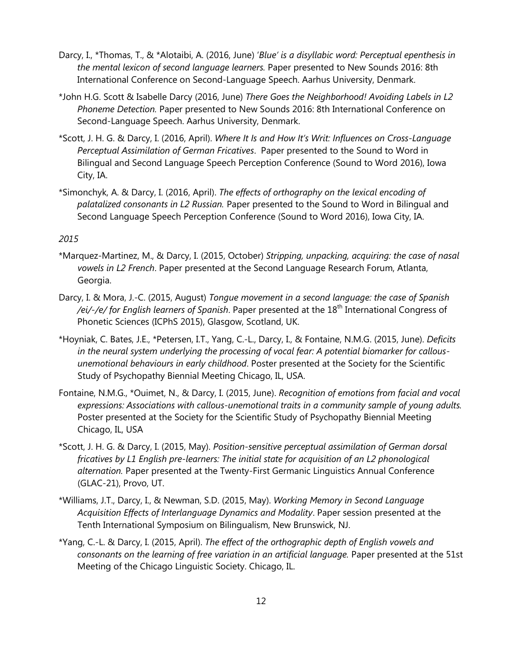- Darcy, I., \*Thomas, T., & \*Alotaibi, A. (2016, June) '*Blue' is a disyllabic word: Perceptual epenthesis in the mental lexicon of second language learners.* Paper presented to New Sounds 2016: 8th International Conference on Second-Language Speech. Aarhus University, Denmark.
- \*John H.G. Scott & Isabelle Darcy (2016, June) *There Goes the Neighborhood! Avoiding Labels in L2 Phoneme Detection.* Paper presented to New Sounds 2016: 8th International Conference on Second-Language Speech. Aarhus University, Denmark.
- \*Scott, J. H. G. & Darcy, I. (2016, April). *Where It Is and How It's Writ: Influences on Cross-Language Perceptual Assimilation of German Fricatives*. Paper presented to the Sound to Word in Bilingual and Second Language Speech Perception Conference (Sound to Word 2016), Iowa City, IA.
- \*Simonchyk, A. & Darcy, I. (2016, April). *The effects of orthography on the lexical encoding of palatalized consonants in L2 Russian.* Paper presented to the Sound to Word in Bilingual and Second Language Speech Perception Conference (Sound to Word 2016), Iowa City, IA.

- \*Marquez-Martinez, M., & Darcy, I. (2015, October) *Stripping, unpacking, acquiring: the case of nasal vowels in L2 French*. Paper presented at the Second Language Research Forum, Atlanta, Georgia.
- Darcy, I. & Mora, J.-C. (2015, August) *Tongue movement in a second language: the case of Spanish /ei/-/e/ for English learners of Spanish*. Paper presented at the 18th International Congress of Phonetic Sciences (ICPhS 2015), Glasgow, Scotland, UK.
- \*Hoyniak, C. Bates, J.E., \*Petersen, I.T., Yang, C.-L., Darcy, I., & Fontaine, N.M.G. (2015, June). *Deficits in the neural system underlying the processing of vocal fear: A potential biomarker for callousunemotional behaviours in early childhood*. Poster presented at the Society for the Scientific Study of Psychopathy Biennial Meeting Chicago, IL, USA.
- Fontaine, N.M.G., \*Ouimet, N., & Darcy, I. (2015, June). *Recognition of emotions from facial and vocal expressions: Associations with callous-unemotional traits in a community sample of young adults.* Poster presented at the Society for the Scientific Study of Psychopathy Biennial Meeting Chicago, IL, USA
- \*Scott, J. H. G. & Darcy, I. (2015, May). *Position-sensitive perceptual assimilation of German dorsal fricatives by L1 English pre-learners: The initial state for acquisition of an L2 phonological alternation.* Paper presented at the Twenty-First Germanic Linguistics Annual Conference (GLAC-21), Provo, UT.
- \*Williams, J.T., Darcy, I., & Newman, S.D. (2015, May). *Working Memory in Second Language Acquisition Effects of Interlanguage Dynamics and Modality*. Paper session presented at the Tenth International Symposium on Bilingualism, New Brunswick, NJ.
- \*Yang, C.-L. & Darcy, I. (2015, April). *The effect of the orthographic depth of English vowels and consonants on the learning of free variation in an artificial language.* Paper presented at the 51st Meeting of the Chicago Linguistic Society. Chicago, IL.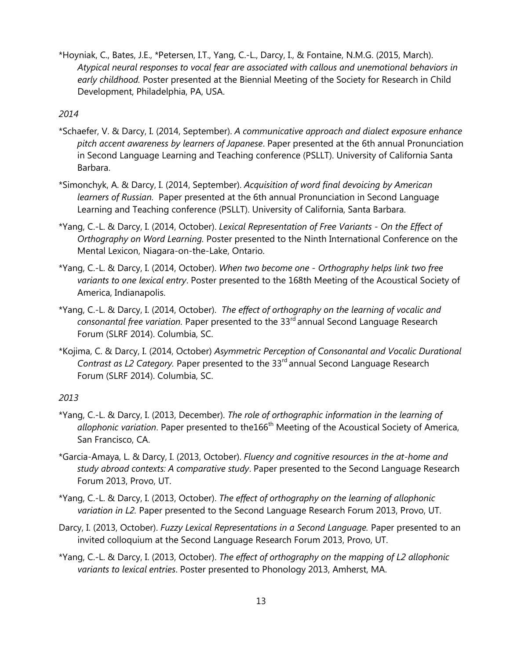\*Hoyniak, C., Bates, J.E., \*Petersen, I.T., Yang, C.-L., Darcy, I., & Fontaine, N.M.G. (2015, March). *Atypical neural responses to vocal fear are associated with callous and unemotional behaviors in early childhood.* Poster presented at the Biennial Meeting of the Society for Research in Child Development, Philadelphia, PA, USA.

## *2014*

- \*Schaefer, V. & Darcy, I. (2014, September). *A communicative approach and dialect exposure enhance pitch accent awareness by learners of Japanese*. Paper presented at the 6th annual Pronunciation in Second Language Learning and Teaching conference (PSLLT). University of California Santa Barbara.
- \*Simonchyk, A. & Darcy, I. (2014, September). *Acquisition of word final devoicing by American learners of Russian.* Paper presented at the 6th annual Pronunciation in Second Language Learning and Teaching conference (PSLLT). University of California, Santa Barbara.
- \*Yang, C.-L. & Darcy, I. (2014, October). *Lexical Representation of Free Variants - On the Effect of Orthography on Word Learning.* Poster presented to the Ninth International Conference on the Mental Lexicon, Niagara-on-the-Lake, Ontario.
- \*Yang, C.-L. & Darcy, I. (2014, October). *When two become one - Orthography helps link two free variants to one lexical entry*. Poster presented to the 168th Meeting of the Acoustical Society of America, Indianapolis.
- \*Yang, C.-L. & Darcy, I. (2014, October). *The effect of orthography on the learning of vocalic and*  consonantal free variation. Paper presented to the 33<sup>rd</sup> annual Second Language Research Forum (SLRF 2014). Columbia, SC.
- \*Kojima, C. & Darcy, I. (2014, October) *Asymmetric Perception of Consonantal and Vocalic Durational Contrast as L2 Category.* Paper presented to the 33<sup>rd</sup> annual Second Language Research Forum (SLRF 2014). Columbia, SC.

- \*Yang, C.-L. & Darcy, I. (2013, December). *The role of orthographic information in the learning of*  allophonic variation. Paper presented to the166<sup>th</sup> Meeting of the Acoustical Society of America, San Francisco, CA.
- \*Garcia-Amaya, L. & Darcy, I. (2013, October). *Fluency and cognitive resources in the at-home and study abroad contexts: A comparative study*. Paper presented to the Second Language Research Forum 2013, Provo, UT.
- \*Yang, C.-L. & Darcy, I. (2013, October). *The effect of orthography on the learning of allophonic variation in L2.* Paper presented to the Second Language Research Forum 2013, Provo, UT.
- Darcy, I. (2013, October). *Fuzzy Lexical Representations in a Second Language.* Paper presented to an invited colloquium at the Second Language Research Forum 2013, Provo, UT.
- \*Yang, C.-L. & Darcy, I. (2013, October). *The effect of orthography on the mapping of L2 allophonic variants to lexical entries*. Poster presented to Phonology 2013, Amherst, MA.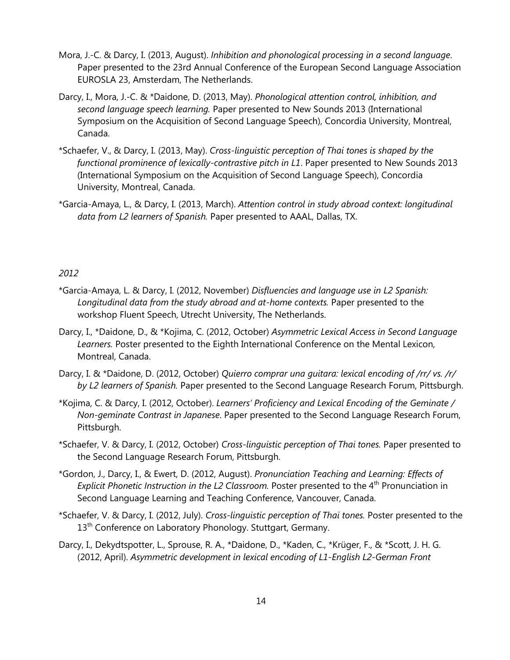- Mora, J.-C. & Darcy, I. (2013, August). *Inhibition and phonological processing in a second language*. Paper presented to the 23rd Annual Conference of the European Second Language Association EUROSLA 23, Amsterdam, The Netherlands.
- Darcy, I., Mora, J.-C. & \*Daidone, D. (2013, May). *Phonological attention control, inhibition, and second language speech learning.* Paper presented to New Sounds 2013 (International Symposium on the Acquisition of Second Language Speech), Concordia University, Montreal, Canada.
- \*Schaefer, V., & Darcy, I. (2013, May). *Cross-linguistic perception of Thai tones is shaped by the functional prominence of lexically-contrastive pitch in L1*. Paper presented to New Sounds 2013 (International Symposium on the Acquisition of Second Language Speech), Concordia University, Montreal, Canada.
- \*Garcia-Amaya, L., & Darcy, I. (2013, March). *Attention control in study abroad context: longitudinal data from L2 learners of Spanish.* Paper presented to AAAL, Dallas, TX.

- \*Garcia-Amaya, L. & Darcy, I. (2012, November) *Disfluencies and language use in L2 Spanish: Longitudinal data from the study abroad and at-home contexts.* Paper presented to the workshop Fluent Speech, Utrecht University, The Netherlands.
- Darcy, I., \*Daidone, D., & \*Kojima, C. (2012, October) *Asymmetric Lexical Access in Second Language Learners.* Poster presented to the Eighth International Conference on the Mental Lexicon, Montreal, Canada.
- Darcy, I. & \*Daidone, D. (2012, October) *Quierro comprar una guitara: lexical encoding of /rr/ vs. /r/ by L2 learners of Spanish.* Paper presented to the Second Language Research Forum, Pittsburgh.
- \*Kojima, C. & Darcy, I. (2012, October). *Learners' Proficiency and Lexical Encoding of the Geminate / Non-geminate Contrast in Japanese*. Paper presented to the Second Language Research Forum, Pittsburgh.
- \*Schaefer, V. & Darcy, I. (2012, October) *Cross-linguistic perception of Thai tones.* Paper presented to the Second Language Research Forum, Pittsburgh.
- \*Gordon, J., Darcy, I., & Ewert, D. (2012, August). *Pronunciation Teaching and Learning: Effects of Explicit Phonetic Instruction in the L2 Classroom.* Poster presented to the 4<sup>th</sup> Pronunciation in Second Language Learning and Teaching Conference, Vancouver, Canada.
- \*Schaefer, V. & Darcy, I. (2012, July). *Cross-linguistic perception of Thai tones.* Poster presented to the 13<sup>th</sup> Conference on Laboratory Phonology. Stuttgart, Germany.
- Darcy, I., Dekydtspotter, L., Sprouse, R. A., \*Daidone, D., \*Kaden, C., \*Krüger, F., & \*Scott, J. H. G. (2012, April). *Asymmetric development in lexical encoding of L1-English L2-German Front*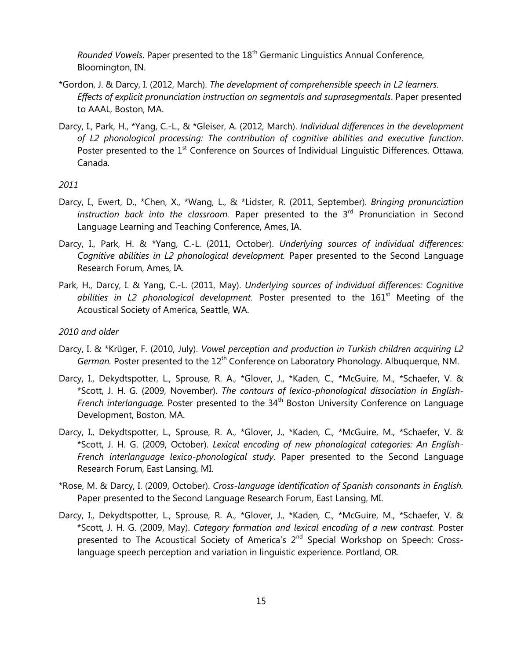*Rounded Vowels*. Paper presented to the 18th Germanic Linguistics Annual Conference, Bloomington, IN.

- \*Gordon, J. & Darcy, I. (2012, March). *The development of comprehensible speech in L2 learners. Effects of explicit pronunciation instruction on segmentals and suprasegmentals*. Paper presented to AAAL, Boston, MA.
- Darcy, I., Park, H., \*Yang, C.-L., & \*Gleiser, A. (2012, March). *Individual differences in the development of L2 phonological processing: The contribution of cognitive abilities and executive function*. Poster presented to the  $1<sup>st</sup>$  Conference on Sources of Individual Linguistic Differences. Ottawa, Canada.

### *2011*

- Darcy, I., Ewert, D., \*Chen, X., \*Wang, L., & \*Lidster, R. (2011, September). *Bringing pronunciation*  instruction back into the classroom. Paper presented to the 3<sup>rd</sup> Pronunciation in Second Language Learning and Teaching Conference, Ames, IA.
- Darcy, I., Park, H. & \*Yang, C.-L. (2011, October). *Underlying sources of individual differences: Cognitive abilities in L2 phonological development.* Paper presented to the Second Language Research Forum, Ames, IA.
- Park, H., Darcy, I. & Yang, C.-L. (2011, May). *Underlying sources of individual differences: Cognitive abilities in L2 phonological development.* Poster presented to the 161<sup>st</sup> Meeting of the Acoustical Society of America, Seattle, WA.

### *2010 and older*

- Darcy, I. & \*Krüger, F. (2010, July). *Vowel perception and production in Turkish children acquiring L2 German.* Poster presented to the 12<sup>th</sup> Conference on Laboratory Phonology. Albuquerque, NM.
- Darcy, I., Dekydtspotter, L., Sprouse, R. A., \*Glover, J., \*Kaden, C., \*McGuire, M., \*Schaefer, V. & \*Scott, J. H. G. (2009, November). *The contours of lexico-phonological dissociation in English-French interlanguage.* Poster presented to the 34<sup>th</sup> Boston University Conference on Language Development, Boston, MA.
- Darcy, I., Dekydtspotter, L., Sprouse, R. A., \*Glover, J., \*Kaden, C., \*McGuire, M., \*Schaefer, V. & \*Scott, J. H. G. (2009, October). *Lexical encoding of new phonological categories: An English-French interlanguage lexico-phonological study*. Paper presented to the Second Language Research Forum, East Lansing, MI.
- \*Rose, M. & Darcy, I. (2009, October). *Cross-language identification of Spanish consonants in English.* Paper presented to the Second Language Research Forum, East Lansing, MI.
- Darcy, I., Dekydtspotter, L., Sprouse, R. A., \*Glover, J., \*Kaden, C., \*McGuire, M., \*Schaefer, V. & \*Scott, J. H. G. (2009, May). *Category formation and lexical encoding of a new contrast.* Poster presented to The Acoustical Society of America's  $2<sup>nd</sup>$  Special Workshop on Speech: Crosslanguage speech perception and variation in linguistic experience. Portland, OR.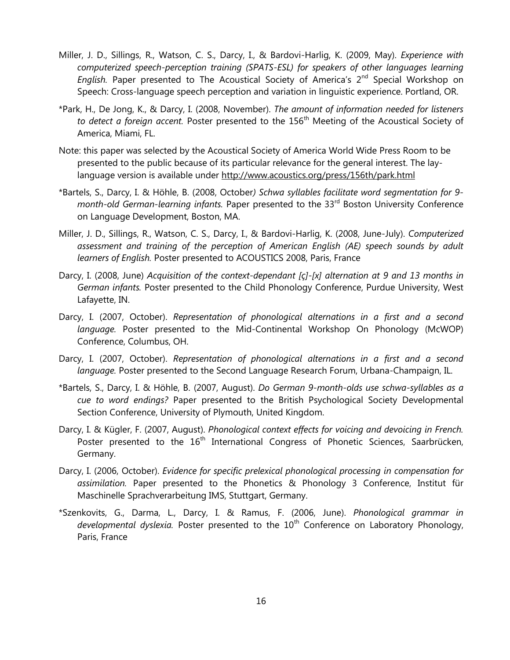- Miller, J. D., Sillings, R., Watson, C. S., Darcy, I., & Bardovi-Harlig, K. (2009, May). *Experience with computerized speech-perception training (SPATS-ESL) for speakers of other languages learning English.* Paper presented to The Acoustical Society of America's 2<sup>nd</sup> Special Workshop on Speech: Cross-language speech perception and variation in linguistic experience. Portland, OR.
- \*Park, H., De Jong, K., & Darcy, I. (2008, November). *The amount of information needed for listeners*  to detect a foreign accent. Poster presented to the 156<sup>th</sup> Meeting of the Acoustical Society of America, Miami, FL.
- Note: this paper was selected by the Acoustical Society of America World Wide Press Room to be presented to the public because of its particular relevance for the general interest. The laylanguage version is available under<http://www.acoustics.org/press/156th/park.html>
- \*Bartels, S., Darcy, I. & Höhle, B. (2008, October*) Schwa syllables facilitate word segmentation for 9 month-old German-learning infants.* Paper presented to the 33<sup>rd</sup> Boston University Conference on Language Development, Boston, MA.
- Miller, J. D., Sillings, R., Watson, C. S., Darcy, I., & Bardovi-Harlig, K. (2008, June-July). *Computerized assessment and training of the perception of American English (AE) speech sounds by adult learners of English.* Poster presented to ACOUSTICS 2008, Paris, France
- Darcy, I. (2008, June) *Acquisition of the context-dependant [ç]-[x] alternation at 9 and 13 months in German infants.* Poster presented to the Child Phonology Conference, Purdue University, West Lafayette, IN.
- Darcy, I. (2007, October). *Representation of phonological alternations in a first and a second language.* Poster presented to the Mid-Continental Workshop On Phonology (McWOP) Conference, Columbus, OH.
- Darcy, I. (2007, October). *Representation of phonological alternations in a first and a second language.* Poster presented to the Second Language Research Forum, Urbana-Champaign, IL.
- \*Bartels, S., Darcy, I. & Höhle, B. (2007, August). *Do German 9-month-olds use schwa-syllables as a cue to word endings?* Paper presented to the British Psychological Society Developmental Section Conference, University of Plymouth, United Kingdom.
- Darcy, I. & Kügler, F. (2007, August). *Phonological context effects for voicing and devoicing in French.* Poster presented to the  $16<sup>th</sup>$  International Congress of Phonetic Sciences, Saarbrücken, Germany.
- Darcy, I. (2006, October). *Evidence for specific prelexical phonological processing in compensation for assimilation.* Paper presented to the Phonetics & Phonology 3 Conference, Institut für Maschinelle Sprachverarbeitung IMS, Stuttgart, Germany.
- \*Szenkovits, G., Darma, L., Darcy, I. & Ramus, F. (2006, June). *Phonological grammar in developmental dyslexia.* Poster presented to the 10<sup>th</sup> Conference on Laboratory Phonology, Paris, France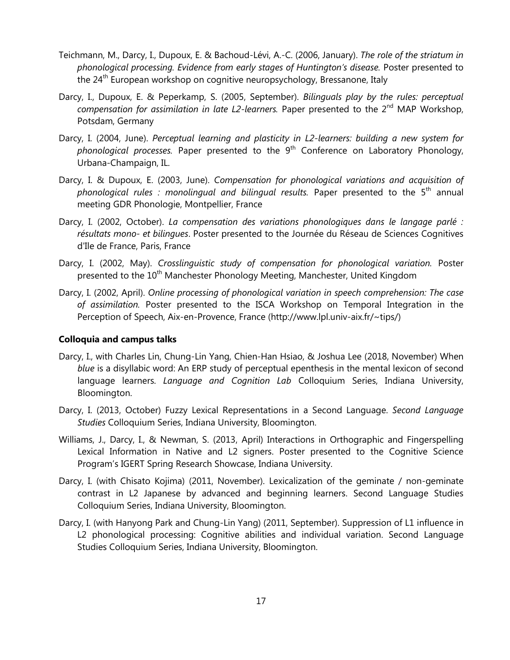- Teichmann, M., Darcy, I., Dupoux, E. & Bachoud-Lévi, A.-C. (2006, January). *The role of the striatum in phonological processing. Evidence from early stages of Huntington's disease.* Poster presented to the 24<sup>th</sup> European workshop on cognitive neuropsychology, Bressanone, Italy
- Darcy, I., Dupoux, E. & Peperkamp, S. (2005, September). *Bilinguals play by the rules: perceptual compensation for assimilation in late L2-learners.* Paper presented to the 2<sup>nd</sup> MAP Workshop, Potsdam, Germany
- Darcy, I. (2004, June). *Perceptual learning and plasticity in L2-learners: building a new system for*  phonological processes. Paper presented to the 9<sup>th</sup> Conference on Laboratory Phonology, Urbana-Champaign, IL.
- Darcy, I. & Dupoux, E. (2003, June). *Compensation for phonological variations and acquisition of*  phonological rules : monolingual and bilingual results. Paper presented to the 5<sup>th</sup> annual meeting GDR Phonologie, Montpellier, France
- Darcy, I. (2002, October). *La compensation des variations phonologiques dans le langage parlé : résultats mono- et bilingues*. Poster presented to the Journée du Réseau de Sciences Cognitives d'Ile de France, Paris, France
- Darcy, I. (2002, May). *Crosslinguistic study of compensation for phonological variation.* Poster presented to the 10<sup>th</sup> Manchester Phonology Meeting, Manchester, United Kingdom
- Darcy, I. (2002, April). *Online processing of phonological variation in speech comprehension: The case of assimilation.* Poster presented to the ISCA Workshop on Temporal Integration in the Perception of Speech, Aix-en-Provence, France (http://www.lpl.univ-aix.fr/~tips/)

### **Colloquia and campus talks**

- Darcy, I., with Charles Lin, Chung-Lin Yang, Chien-Han Hsiao, & Joshua Lee (2018, November) When *blue* is a disyllabic word: An ERP study of perceptual epenthesis in the mental lexicon of second language learners. *Language and Cognition Lab* Colloquium Series, Indiana University, Bloomington.
- Darcy, I. (2013, October) Fuzzy Lexical Representations in a Second Language. *Second Language Studies* Colloquium Series, Indiana University, Bloomington.
- Williams, J., Darcy, I., & Newman, S. (2013, April) Interactions in Orthographic and Fingerspelling Lexical Information in Native and L2 signers. Poster presented to the Cognitive Science Program's IGERT Spring Research Showcase, Indiana University.
- Darcy, I. (with Chisato Kojima) (2011, November). Lexicalization of the geminate / non-geminate contrast in L2 Japanese by advanced and beginning learners. Second Language Studies Colloquium Series, Indiana University, Bloomington.
- Darcy, I. (with Hanyong Park and Chung-Lin Yang) (2011, September). Suppression of L1 influence in L2 phonological processing: Cognitive abilities and individual variation. Second Language Studies Colloquium Series, Indiana University, Bloomington.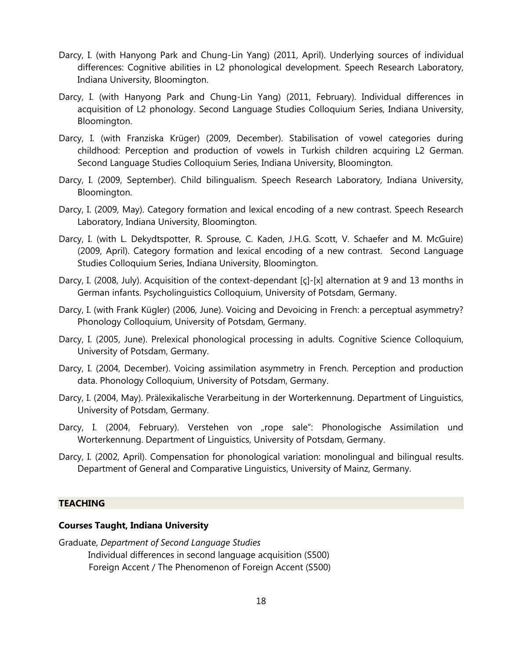- Darcy, I. (with Hanyong Park and Chung-Lin Yang) (2011, April). Underlying sources of individual differences: Cognitive abilities in L2 phonological development. Speech Research Laboratory, Indiana University, Bloomington.
- Darcy, I. (with Hanyong Park and Chung-Lin Yang) (2011, February). Individual differences in acquisition of L2 phonology. Second Language Studies Colloquium Series, Indiana University, Bloomington.
- Darcy, I. (with Franziska Krüger) (2009, December). Stabilisation of vowel categories during childhood: Perception and production of vowels in Turkish children acquiring L2 German. Second Language Studies Colloquium Series, Indiana University, Bloomington.
- Darcy, I. (2009, September). Child bilingualism. Speech Research Laboratory, Indiana University, Bloomington.
- Darcy, I. (2009, May). Category formation and lexical encoding of a new contrast. Speech Research Laboratory, Indiana University, Bloomington.
- Darcy, I. (with L. Dekydtspotter, R. Sprouse, C. Kaden, J.H.G. Scott, V. Schaefer and M. McGuire) (2009, April). Category formation and lexical encoding of a new contrast. Second Language Studies Colloquium Series, Indiana University, Bloomington.
- Darcy, I. (2008, July). Acquisition of the context-dependant [ç]-[x] alternation at 9 and 13 months in German infants. Psycholinguistics Colloquium, University of Potsdam, Germany.
- Darcy, I. (with Frank Kügler) (2006, June). Voicing and Devoicing in French: a perceptual asymmetry? Phonology Colloquium, University of Potsdam, Germany.
- Darcy, I. (2005, June). Prelexical phonological processing in adults. Cognitive Science Colloquium, University of Potsdam, Germany.
- Darcy, I. (2004, December). Voicing assimilation asymmetry in French. Perception and production data. Phonology Colloquium, University of Potsdam, Germany.
- Darcy, I. (2004, May). Prälexikalische Verarbeitung in der Worterkennung. Department of Linguistics, University of Potsdam, Germany.
- Darcy, I. (2004, February). Verstehen von "rope sale": Phonologische Assimilation und Worterkennung. Department of Linguistics, University of Potsdam, Germany.
- Darcy, I. (2002, April). Compensation for phonological variation: monolingual and bilingual results. Department of General and Comparative Linguistics, University of Mainz, Germany.

### **TEACHING**

### **Courses Taught, Indiana University**

Graduate, *Department of Second Language Studies* Individual differences in second language acquisition (S500) Foreign Accent / The Phenomenon of Foreign Accent (S500)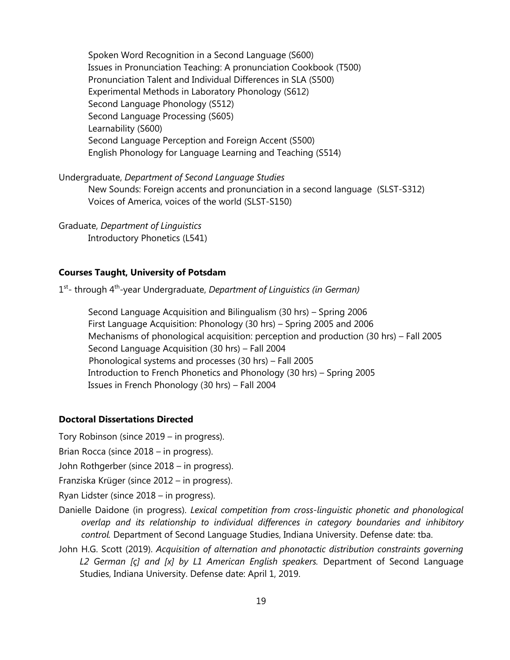Spoken Word Recognition in a Second Language (S600) Issues in Pronunciation Teaching: A pronunciation Cookbook (T500) Pronunciation Talent and Individual Differences in SLA (S500) Experimental Methods in Laboratory Phonology (S612) Second Language Phonology (S512) Second Language Processing (S605) Learnability (S600) Second Language Perception and Foreign Accent (S500) English Phonology for Language Learning and Teaching (S514)

Undergraduate, *Department of Second Language Studies* New Sounds: Foreign accents and pronunciation in a second language (SLST-S312) Voices of America, voices of the world (SLST-S150)

Graduate, *Department of Linguistics* Introductory Phonetics (L541)

### **Courses Taught, University of Potsdam**

1<sup>st</sup>-through 4<sup>th</sup>-year Undergraduate, *Department of Linguistics (in German)* 

Second Language Acquisition and Bilingualism (30 hrs) – Spring 2006 First Language Acquisition: Phonology (30 hrs) – Spring 2005 and 2006 Mechanisms of phonological acquisition: perception and production (30 hrs) – Fall 2005 Second Language Acquisition (30 hrs) – Fall 2004 Phonological systems and processes (30 hrs) – Fall 2005 Introduction to French Phonetics and Phonology (30 hrs) – Spring 2005 Issues in French Phonology (30 hrs) – Fall 2004

### **Doctoral Dissertations Directed**

Tory Robinson (since 2019 – in progress).

Brian Rocca (since 2018 – in progress).

John Rothgerber (since 2018 – in progress).

Franziska Krüger (since 2012 – in progress).

Ryan Lidster (since 2018 – in progress).

- Danielle Daidone (in progress). *Lexical competition from cross-linguistic phonetic and phonological overlap and its relationship to individual differences in category boundaries and inhibitory control.* Department of Second Language Studies, Indiana University. Defense date: tba.
- John H.G. Scott (2019). *Acquisition of alternation and phonotactic distribution constraints governing L2 German [ç] and [x] by L1 American English speakers.* Department of Second Language Studies, Indiana University. Defense date: April 1, 2019.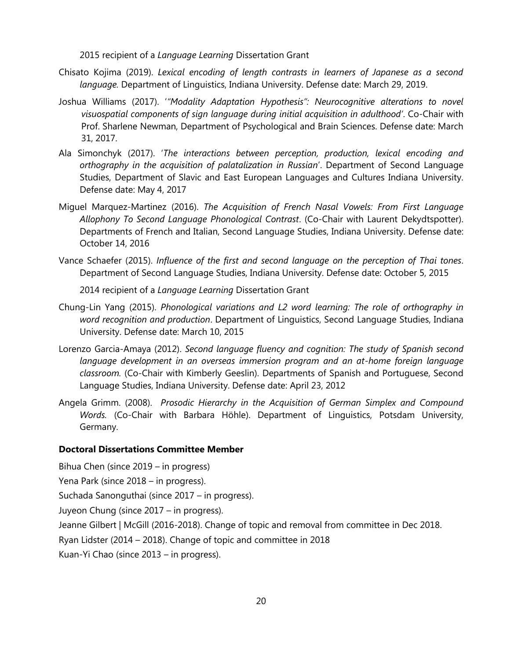2015 recipient of a *Language Learning* Dissertation Grant

- Chisato Kojima (2019). *Lexical encoding of length contrasts in learners of Japanese as a second language.* Department of Linguistics, Indiana University. Defense date: March 29, 2019.
- Joshua Williams (2017). '*"Modality Adaptation Hypothesis": Neurocognitive alterations to novel visuospatial components of sign language during initial acquisition in adulthood'*. Co-Chair with Prof. Sharlene Newman, Department of Psychological and Brain Sciences. Defense date: March 31, 2017.
- Ala Simonchyk (2017). '*The interactions between perception, production, lexical encoding and orthography in the acquisition of palatalization in Russian*'. Department of Second Language Studies, Department of Slavic and East European Languages and Cultures Indiana University. Defense date: May 4, 2017
- Miguel Marquez-Martinez (2016). *The Acquisition of French Nasal Vowels: From First Language Allophony To Second Language Phonological Contrast*. (Co-Chair with Laurent Dekydtspotter). Departments of French and Italian, Second Language Studies, Indiana University. Defense date: October 14, 2016
- Vance Schaefer (2015). *Influence of the first and second language on the perception of Thai tones*. Department of Second Language Studies, Indiana University. Defense date: October 5, 2015

2014 recipient of a *Language Learning* Dissertation Grant

- Chung-Lin Yang (2015). *Phonological variations and L2 word learning: The role of orthography in word recognition and production*. Department of Linguistics, Second Language Studies, Indiana University. Defense date: March 10, 2015
- Lorenzo Garcia-Amaya (2012). *Second language fluency and cognition: The study of Spanish second language development in an overseas immersion program and an at-home foreign language classroom.* (Co-Chair with Kimberly Geeslin). Departments of Spanish and Portuguese, Second Language Studies, Indiana University. Defense date: April 23, 2012
- Angela Grimm. (2008). *Prosodic Hierarchy in the Acquisition of German Simplex and Compound Words.* (Co-Chair with Barbara Höhle). Department of Linguistics, Potsdam University, Germany.

### **Doctoral Dissertations Committee Member**

Bihua Chen (since 2019 – in progress)

Yena Park (since 2018 – in progress).

Suchada Sanonguthai (since 2017 – in progress).

Juyeon Chung (since 2017 – in progress).

Jeanne Gilbert | McGill (2016-2018). Change of topic and removal from committee in Dec 2018.

Ryan Lidster (2014 – 2018). Change of topic and committee in 2018

Kuan-Yi Chao (since 2013 – in progress).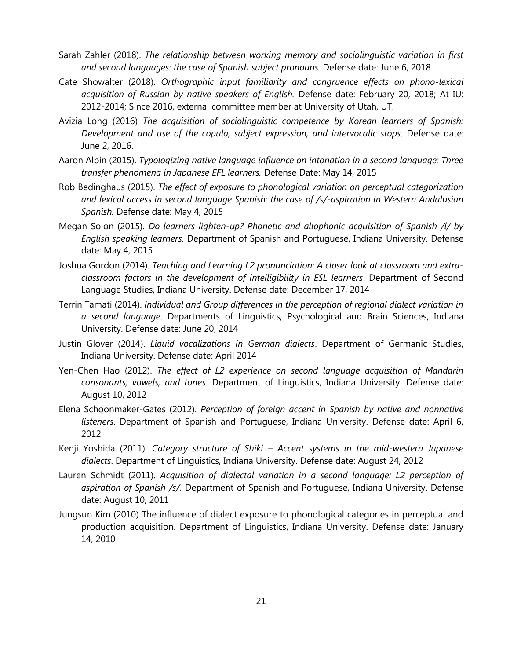- Sarah Zahler (2018). *The relationship between working memory and sociolinguistic variation in first and second languages: the case of Spanish subject pronouns.* Defense date: June 6, 2018
- Cate Showalter (2018). *Orthographic input familiarity and congruence effects on phono-lexical acquisition of Russian by native speakers of English.* Defense date: February 20, 2018; At IU: 2012-2014; Since 2016, external committee member at University of Utah, UT.
- Avizia Long (2016) *The acquisition of sociolinguistic competence by Korean learners of Spanish: Development and use of the copula, subject expression, and intervocalic stops.* Defense date: June 2, 2016.
- Aaron Albin (2015). *Typologizing native language influence on intonation in a second language: Three transfer phenomena in Japanese EFL learners.* Defense Date: May 14, 2015
- Rob Bedinghaus (2015). *The effect of exposure to phonological variation on perceptual categorization and lexical access in second language Spanish: the case of /s/-aspiration in Western Andalusian Spanish.* Defense date: May 4, 2015
- Megan Solon (2015). *Do learners lighten-up? Phonetic and allophonic acquisition of Spanish /l/ by English speaking learners.* Department of Spanish and Portuguese, Indiana University. Defense date: May 4, 2015
- Joshua Gordon (2014). *Teaching and Learning L2 pronunciation: A closer look at classroom and extraclassroom factors in the development of intelligibility in ESL learners*. Department of Second Language Studies, Indiana University. Defense date: December 17, 2014
- Terrin Tamati (2014). *Individual and Group differences in the perception of regional dialect variation in a second language*. Departments of Linguistics, Psychological and Brain Sciences, Indiana University. Defense date: June 20, 2014
- Justin Glover (2014). *Liquid vocalizations in German dialects*. Department of Germanic Studies, Indiana University. Defense date: April 2014
- Yen-Chen Hao (2012). *The effect of L2 experience on second language acquisition of Mandarin consonants, vowels, and tones*. Department of Linguistics, Indiana University. Defense date: August 10, 2012
- Elena Schoonmaker-Gates (2012). *Perception of foreign accent in Spanish by native and nonnative listeners*. Department of Spanish and Portuguese, Indiana University. Defense date: April 6, 2012
- Kenji Yoshida (2011). *Category structure of Shiki – Accent systems in the mid-western Japanese dialects*. Department of Linguistics, Indiana University. Defense date: August 24, 2012
- Lauren Schmidt (2011). *Acquisition of dialectal variation in a second language: L2 perception of aspiration of Spanish /s/*. Department of Spanish and Portuguese, Indiana University. Defense date: August 10, 2011
- Jungsun Kim (2010) The influence of dialect exposure to phonological categories in perceptual and production acquisition. Department of Linguistics, Indiana University. Defense date: January 14, 2010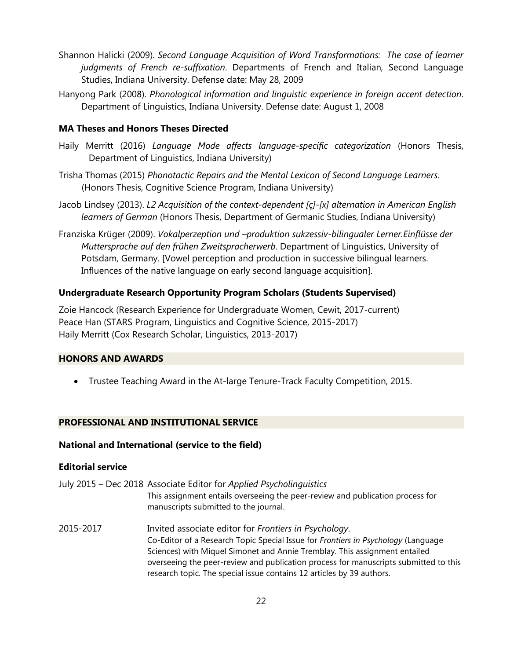- Shannon Halicki (2009). *Second Language Acquisition of Word Transformations: The case of learner judgments of French re-suffixation*. Departments of French and Italian, Second Language Studies, Indiana University. Defense date: May 28, 2009
- Hanyong Park (2008). *Phonological information and linguistic experience in foreign accent detection*. Department of Linguistics, Indiana University. Defense date: August 1, 2008

## **MA Theses and Honors Theses Directed**

- Haily Merritt (2016) *Language Mode affects language-specific categorization* (Honors Thesis, Department of Linguistics, Indiana University)
- Trisha Thomas (2015) *Phonotactic Repairs and the Mental Lexicon of Second Language Learners*. (Honors Thesis, Cognitive Science Program, Indiana University)
- Jacob Lindsey (2013). *L2 Acquisition of the context-dependent [ç]-[x] alternation in American English learners of German* (Honors Thesis, Department of Germanic Studies, Indiana University)
- Franziska Krüger (2009). *Vokalperzeption und –produktion sukzessiv-bilingualer Lerner.Einflüsse der Muttersprache auf den frühen Zweitspracherwerb*. Department of Linguistics, University of Potsdam, Germany. [Vowel perception and production in successive bilingual learners. Influences of the native language on early second language acquisition].

### **Undergraduate Research Opportunity Program Scholars (Students Supervised)**

Zoie Hancock (Research Experience for Undergraduate Women, Cewit, 2017-current) Peace Han (STARS Program, Linguistics and Cognitive Science, 2015-2017) Haily Merritt (Cox Research Scholar, Linguistics, 2013-2017)

#### **HONORS AND AWARDS**

Trustee Teaching Award in the At-large Tenure-Track Faculty Competition, 2015.

#### **PROFESSIONAL AND INSTITUTIONAL SERVICE**

### **National and International (service to the field)**

### **Editorial service**

- July 2015 Dec 2018 Associate Editor for *Applied Psycholinguistics* This assignment entails overseeing the peer-review and publication process for manuscripts submitted to the journal.
- 2015-2017 Invited associate editor for *Frontiers in Psychology*. Co-Editor of a Research Topic Special Issue for *Frontiers in Psychology* (Language Sciences) with Miquel Simonet and Annie Tremblay. This assignment entailed overseeing the peer-review and publication process for manuscripts submitted to this research topic. The special issue contains 12 articles by 39 authors.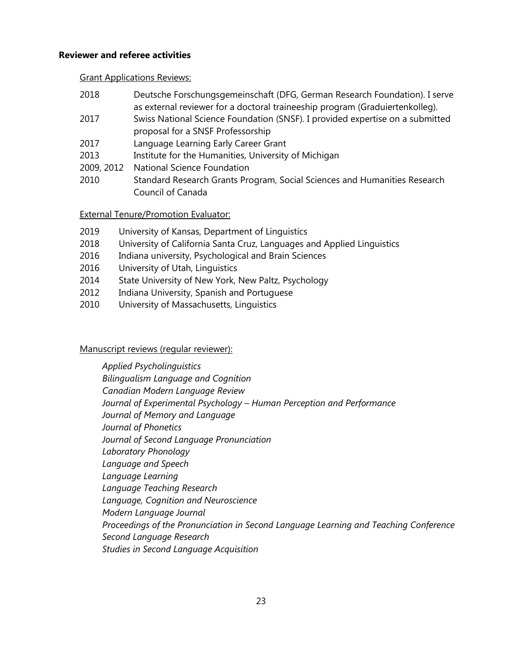### **Reviewer and referee activities**

### Grant Applications Reviews:

| 2018       | Deutsche Forschungsgemeinschaft (DFG, German Research Foundation). I serve    |
|------------|-------------------------------------------------------------------------------|
|            | as external reviewer for a doctoral traineeship program (Graduiertenkolleg).  |
| 2017       | Swiss National Science Foundation (SNSF). I provided expertise on a submitted |
|            | proposal for a SNSF Professorship                                             |
| 2017       | Language Learning Early Career Grant                                          |
| 2013       | Institute for the Humanities, University of Michigan                          |
| 2009, 2012 | <b>National Science Foundation</b>                                            |
| 2010       | Standard Research Grants Program, Social Sciences and Humanities Research     |

Council of Canada

## External Tenure/Promotion Evaluator:

- 2019 University of Kansas, Department of Linguistics
- 2018 University of California Santa Cruz, Languages and Applied Linguistics
- 2016 Indiana university, Psychological and Brain Sciences
- 2016 University of Utah, Linguistics
- 2014 State University of New York, New Paltz, Psychology
- 2012 Indiana University, Spanish and Portuguese
- 2010 University of Massachusetts, Linguistics

## Manuscript reviews (regular reviewer):

*Applied Psycholinguistics Bilingualism Language and Cognition Canadian Modern Language Review Journal of Experimental Psychology – Human Perception and Performance Journal of Memory and Language Journal of Phonetics Journal of Second Language Pronunciation Laboratory Phonology Language and Speech Language Learning Language Teaching Research Language, Cognition and Neuroscience Modern Language Journal Proceedings of the Pronunciation in Second Language Learning and Teaching Conference Second Language Research Studies in Second Language Acquisition*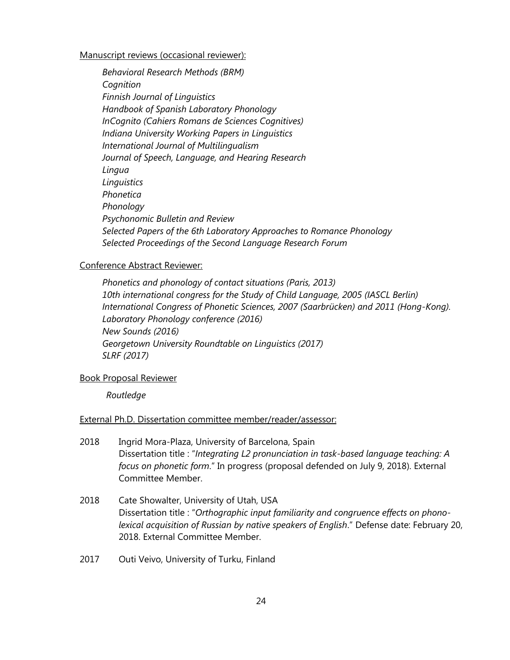#### Manuscript reviews (occasional reviewer):

*Behavioral Research Methods (BRM) Cognition Finnish Journal of Linguistics Handbook of Spanish Laboratory Phonology InCognito (Cahiers Romans de Sciences Cognitives) Indiana University Working Papers in Linguistics International Journal of Multilingualism Journal of Speech, Language, and Hearing Research Lingua Linguistics Phonetica Phonology Psychonomic Bulletin and Review Selected Papers of the 6th Laboratory Approaches to Romance Phonology Selected Proceedings of the Second Language Research Forum*

### Conference Abstract Reviewer:

*Phonetics and phonology of contact situations (Paris, 2013) 10th international congress for the Study of Child Language, 2005 (IASCL Berlin) International Congress of Phonetic Sciences, 2007 (Saarbrücken) and 2011 (Hong-Kong). Laboratory Phonology conference (2016) New Sounds (2016) Georgetown University Roundtable on Linguistics (2017) SLRF (2017)*

#### Book Proposal Reviewer

*Routledge*

#### External Ph.D. Dissertation committee member/reader/assessor:

- 2018 Ingrid Mora-Plaza, University of Barcelona, Spain Dissertation title : "*Integrating L2 pronunciation in task-based language teaching: A focus on phonetic form*." In progress (proposal defended on July 9, 2018). External Committee Member.
- 2018 Cate Showalter, University of Utah, USA Dissertation title : "*Orthographic input familiarity and congruence effects on phonolexical acquisition of Russian by native speakers of English*." Defense date: February 20, 2018. External Committee Member.

### 2017 Outi Veivo, University of Turku, Finland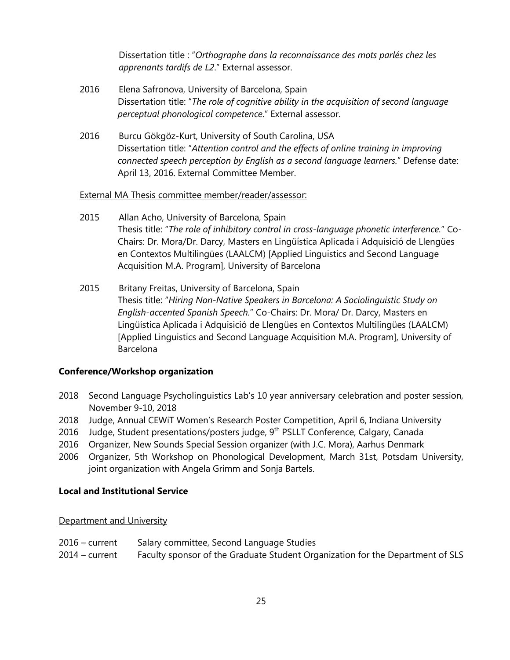Dissertation title : "*Orthographe dans la reconnaissance des mots parlés chez les apprenants tardifs de L2*." External assessor.

- 2016 Elena Safronova, University of Barcelona, Spain Dissertation title: "*The role of cognitive ability in the acquisition of second language perceptual phonological competence*." External assessor.
- 2016 Burcu Gökgöz-Kurt, University of South Carolina, USA Dissertation title: "*Attention control and the effects of online training in improving connected speech perception by English as a second language learners.*" Defense date: April 13, 2016. External Committee Member.

### External MA Thesis committee member/reader/assessor:

- 2015 Allan Acho, University of Barcelona, Spain Thesis title: "*The role of inhibitory control in cross-language phonetic interference.*" Co-Chairs: Dr. Mora/Dr. Darcy, Masters en Lingüística Aplicada i Adquisició de Llengües en Contextos Multilingües (LAALCM) [Applied Linguistics and Second Language Acquisition M.A. Program], University of Barcelona
- 2015 Britany Freitas, University of Barcelona, Spain Thesis title: "*Hiring Non-Native Speakers in Barcelona: A Sociolinguistic Study on English-accented Spanish Speech.*" Co-Chairs: Dr. Mora/ Dr. Darcy, Masters en Lingüística Aplicada i Adquisició de Llengües en Contextos Multilingües (LAALCM) [Applied Linguistics and Second Language Acquisition M.A. Program], University of Barcelona

### **Conference/Workshop organization**

- 2018 Second Language Psycholinguistics Lab's 10 year anniversary celebration and poster session, November 9-10, 2018
- 2018 Judge, Annual CEWiT Women's Research Poster Competition, April 6, Indiana University
- 2016 Judge, Student presentations/posters judge, 9<sup>th</sup> PSLLT Conference, Calgary, Canada
- 2016 Organizer, New Sounds Special Session organizer (with J.C. Mora), Aarhus Denmark
- 2006 Organizer, 5th Workshop on Phonological Development, March 31st, Potsdam University, joint organization with Angela Grimm and Sonja Bartels.

### **Local and Institutional Service**

### Department and University

- 2016 current Salary committee, Second Language Studies
- 2014 current Faculty sponsor of the Graduate Student Organization for the Department of SLS